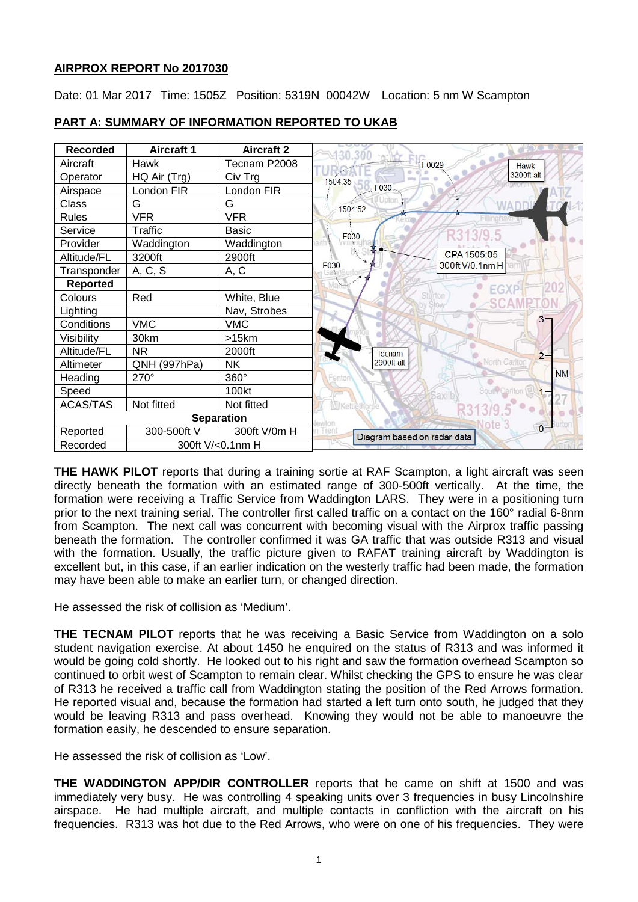## **AIRPROX REPORT No 2017030**

Date: 01 Mar 2017 Time: 1505Z Position: 5319N 00042W Location: 5 nm W Scampton

| <b>Recorded</b>              | <b>Aircraft 1</b> | <b>Aircraft 2</b> | 30,300                               |
|------------------------------|-------------------|-------------------|--------------------------------------|
| Aircraft                     | Hawk              | Tecnam P2008      | F0029<br>Hawk                        |
| Operator                     | HQ Air (Trg)      | Civ Trg           | 3200ft alt<br>1504:35                |
| Airspace                     | London FIR        | London FIR        | F030                                 |
| Class                        | G                 | G                 | 1504:52                              |
| <b>Rules</b>                 | <b>VFR</b>        | <b>VFR</b>        |                                      |
| Service                      | Traffic           | <b>Basic</b>      | F030                                 |
| Provider                     | Waddington        | Waddington        |                                      |
| Altitude/FL                  | 3200ft            | 2900ft            | CPA 1505:05                          |
| Transponder                  | A, C, S           | A, C              | 300ft V/0.1nm H<br>F030              |
| <b>Reported</b>              |                   |                   | FGX                                  |
| Colours                      | Red               | White, Blue       | Sturton                              |
| Lighting                     |                   | Nav, Strobes      |                                      |
| Conditions                   | <b>VMC</b>        | <b>VMC</b>        | $3^{\circ}$                          |
| Visibility                   | 30km              | >15km             |                                      |
| Altitude/FL                  | NR.               | 2000ft            | Tecnam<br>$2 -$                      |
| Altimeter                    | QNH (997hPa)      | <b>NK</b>         | North Carlton<br>2900ft alt          |
| Heading                      | 270°              | 360°              | <b>NM</b><br>Fenton                  |
| Speed                        |                   | 100kt             |                                      |
| <b>ACAS/TAS</b>              | Not fitted        | Not fitted        | Kettlethorpe                         |
|                              |                   | <b>Separation</b> |                                      |
| Reported                     | 300-500ft V       | 300ft V/0m H      | $0 -$<br>Diagram based on radar data |
| Recorded<br>300ft V/<0.1nm H |                   |                   |                                      |

# **PART A: SUMMARY OF INFORMATION REPORTED TO UKAB**

**THE HAWK PILOT** reports that during a training sortie at RAF Scampton, a light aircraft was seen directly beneath the formation with an estimated range of 300-500ft vertically. At the time, the formation were receiving a Traffic Service from Waddington LARS. They were in a positioning turn prior to the next training serial. The controller first called traffic on a contact on the 160° radial 6-8nm from Scampton. The next call was concurrent with becoming visual with the Airprox traffic passing beneath the formation. The controller confirmed it was GA traffic that was outside R313 and visual with the formation. Usually, the traffic picture given to RAFAT training aircraft by Waddington is excellent but, in this case, if an earlier indication on the westerly traffic had been made, the formation may have been able to make an earlier turn, or changed direction.

He assessed the risk of collision as 'Medium'.

**THE TECNAM PILOT** reports that he was receiving a Basic Service from Waddington on a solo student navigation exercise. At about 1450 he enquired on the status of R313 and was informed it would be going cold shortly. He looked out to his right and saw the formation overhead Scampton so continued to orbit west of Scampton to remain clear. Whilst checking the GPS to ensure he was clear of R313 he received a traffic call from Waddington stating the position of the Red Arrows formation. He reported visual and, because the formation had started a left turn onto south, he judged that they would be leaving R313 and pass overhead. Knowing they would not be able to manoeuvre the formation easily, he descended to ensure separation.

He assessed the risk of collision as 'Low'.

**THE WADDINGTON APP/DIR CONTROLLER** reports that he came on shift at 1500 and was immediately very busy. He was controlling 4 speaking units over 3 frequencies in busy Lincolnshire airspace. He had multiple aircraft, and multiple contacts in confliction with the aircraft on his frequencies. R313 was hot due to the Red Arrows, who were on one of his frequencies. They were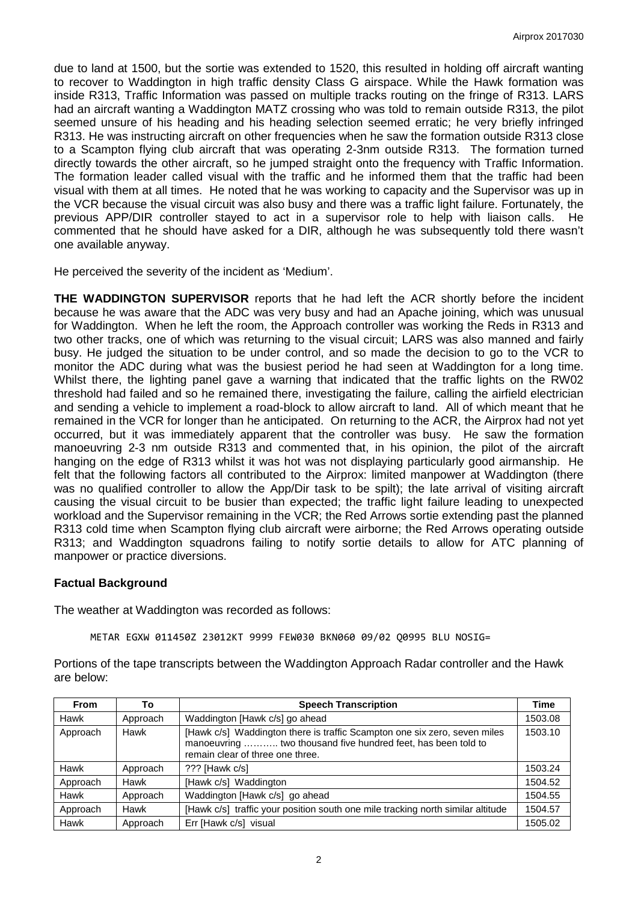due to land at 1500, but the sortie was extended to 1520, this resulted in holding off aircraft wanting to recover to Waddington in high traffic density Class G airspace. While the Hawk formation was inside R313, Traffic Information was passed on multiple tracks routing on the fringe of R313. LARS had an aircraft wanting a Waddington MATZ crossing who was told to remain outside R313, the pilot seemed unsure of his heading and his heading selection seemed erratic; he very briefly infringed R313. He was instructing aircraft on other frequencies when he saw the formation outside R313 close to a Scampton flying club aircraft that was operating 2-3nm outside R313. The formation turned directly towards the other aircraft, so he jumped straight onto the frequency with Traffic Information. The formation leader called visual with the traffic and he informed them that the traffic had been visual with them at all times. He noted that he was working to capacity and the Supervisor was up in the VCR because the visual circuit was also busy and there was a traffic light failure. Fortunately, the previous APP/DIR controller stayed to act in a supervisor role to help with liaison calls. He commented that he should have asked for a DIR, although he was subsequently told there wasn't one available anyway.

He perceived the severity of the incident as 'Medium'.

**THE WADDINGTON SUPERVISOR** reports that he had left the ACR shortly before the incident because he was aware that the ADC was very busy and had an Apache joining, which was unusual for Waddington. When he left the room, the Approach controller was working the Reds in R313 and two other tracks, one of which was returning to the visual circuit; LARS was also manned and fairly busy. He judged the situation to be under control, and so made the decision to go to the VCR to monitor the ADC during what was the busiest period he had seen at Waddington for a long time. Whilst there, the lighting panel gave a warning that indicated that the traffic lights on the RW02 threshold had failed and so he remained there, investigating the failure, calling the airfield electrician and sending a vehicle to implement a road-block to allow aircraft to land. All of which meant that he remained in the VCR for longer than he anticipated. On returning to the ACR, the Airprox had not yet occurred, but it was immediately apparent that the controller was busy. He saw the formation manoeuvring 2-3 nm outside R313 and commented that, in his opinion, the pilot of the aircraft hanging on the edge of R313 whilst it was hot was not displaying particularly good airmanship. He felt that the following factors all contributed to the Airprox: limited manpower at Waddington (there was no qualified controller to allow the App/Dir task to be spilt); the late arrival of visiting aircraft causing the visual circuit to be busier than expected; the traffic light failure leading to unexpected workload and the Supervisor remaining in the VCR; the Red Arrows sortie extending past the planned R313 cold time when Scampton flying club aircraft were airborne; the Red Arrows operating outside R313; and Waddington squadrons failing to notify sortie details to allow for ATC planning of manpower or practice diversions.

### **Factual Background**

The weather at Waddington was recorded as follows:

METAR EGXW 011450Z 23012KT 9999 FEW030 BKN060 09/02 Q0995 BLU NOSIG=

Portions of the tape transcripts between the Waddington Approach Radar controller and the Hawk are below:

| <b>From</b> | To       | <b>Speech Transcription</b>                                                                                                                                                    | <b>Time</b> |
|-------------|----------|--------------------------------------------------------------------------------------------------------------------------------------------------------------------------------|-------------|
| Hawk        | Approach | Waddington [Hawk c/s] go ahead                                                                                                                                                 | 1503.08     |
| Approach    | Hawk     | [Hawk c/s] Waddington there is traffic Scampton one six zero, seven miles<br>manoeuvring  two thousand five hundred feet, has been told to<br>remain clear of three one three. | 1503.10     |
| Hawk        | Approach | ??? [Hawk c/s]                                                                                                                                                                 | 1503.24     |
| Approach    | Hawk     | [Hawk c/s] Waddington                                                                                                                                                          | 1504.52     |
| Hawk        | Approach | Waddington [Hawk c/s] go ahead                                                                                                                                                 | 1504.55     |
| Approach    | Hawk     | [Hawk c/s] traffic your position south one mile tracking north similar altitude                                                                                                | 1504.57     |
| Hawk        | Approach | Err [Hawk c/s] visual                                                                                                                                                          | 1505.02     |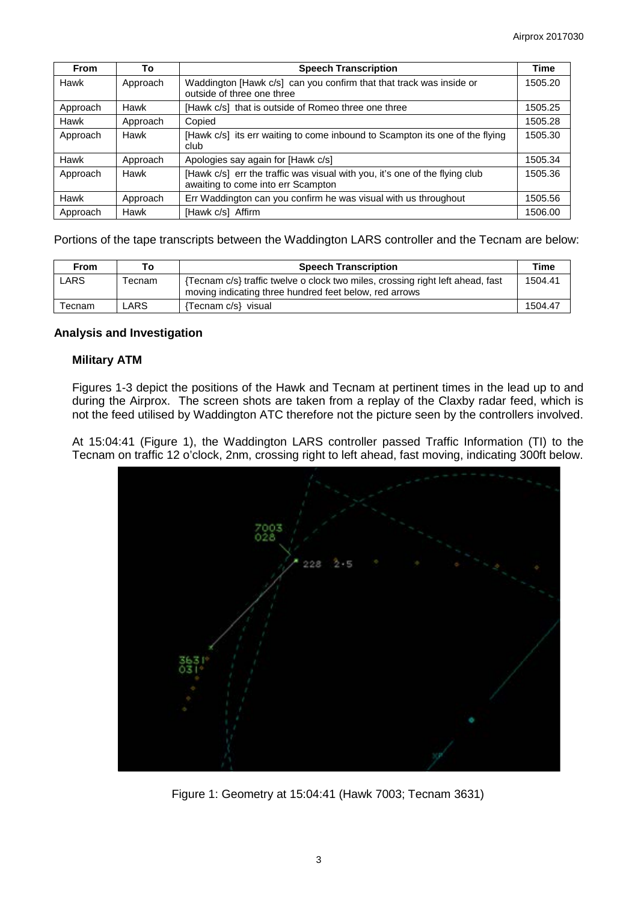| <b>From</b> | To       | <b>Speech Transcription</b>                                                                                       | <b>Time</b> |
|-------------|----------|-------------------------------------------------------------------------------------------------------------------|-------------|
| Hawk        | Approach | Waddington [Hawk c/s] can you confirm that that track was inside or<br>outside of three one three                 | 1505.20     |
| Approach    | Hawk     | [Hawk c/s] that is outside of Romeo three one three                                                               | 1505.25     |
| Hawk        | Approach | Copied                                                                                                            | 1505.28     |
| Approach    | Hawk     | [Hawk c/s] its err waiting to come inbound to Scampton its one of the flying<br>club                              | 1505.30     |
| Hawk        | Approach | Apologies say again for [Hawk c/s]                                                                                | 1505.34     |
| Approach    | Hawk     | [Hawk c/s] err the traffic was visual with you, it's one of the flying club<br>awaiting to come into err Scampton | 1505.36     |
| Hawk        | Approach | Err Waddington can you confirm he was visual with us throughout                                                   | 1505.56     |
| Approach    | Hawk     | [Hawk c/s] Affirm                                                                                                 | 1506.00     |

Portions of the tape transcripts between the Waddington LARS controller and the Tecnam are below:

| <b>From</b> |                    | <b>Speech Transcription</b>                                                                                                              | Time    |
|-------------|--------------------|------------------------------------------------------------------------------------------------------------------------------------------|---------|
| ∟ARS        | <sup>r</sup> ecnam | {Tecnam c/s} traffic twelve o clock two miles, crossing right left ahead, fast<br>moving indicating three hundred feet below, red arrows | 1504.41 |
| Tecnam      | LARS.              | Tecnam c/s} visual                                                                                                                       | 1504.47 |

### **Analysis and Investigation**

## **Military ATM**

Figures 1-3 depict the positions of the Hawk and Tecnam at pertinent times in the lead up to and during the Airprox. The screen shots are taken from a replay of the Claxby radar feed, which is not the feed utilised by Waddington ATC therefore not the picture seen by the controllers involved.

At 15:04:41 (Figure 1), the Waddington LARS controller passed Traffic Information (TI) to the Tecnam on traffic 12 o'clock, 2nm, crossing right to left ahead, fast moving, indicating 300ft below.



Figure 1: Geometry at 15:04:41 (Hawk 7003; Tecnam 3631)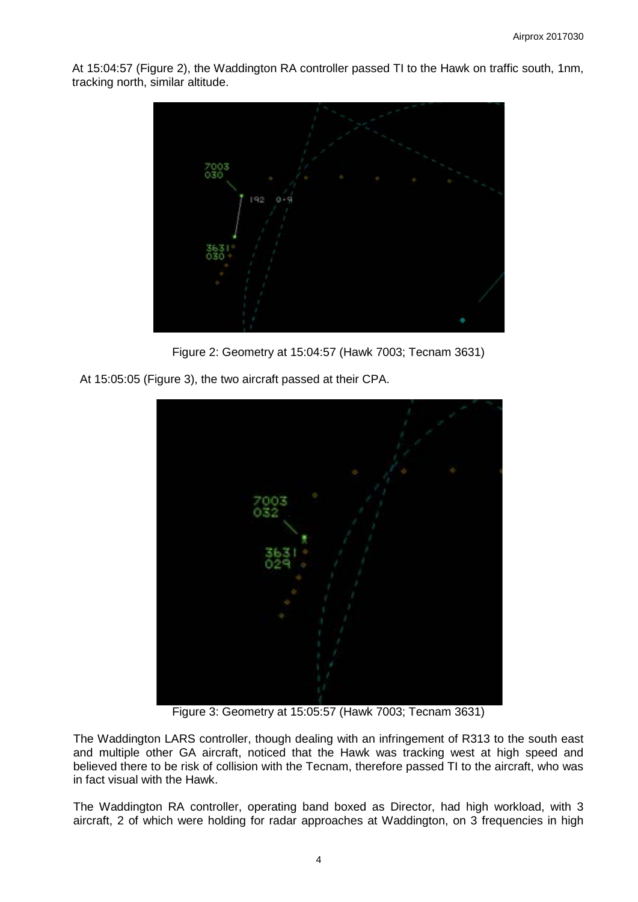At 15:04:57 (Figure 2), the Waddington RA controller passed TI to the Hawk on traffic south, 1nm, tracking north, similar altitude.



Figure 2: Geometry at 15:04:57 (Hawk 7003; Tecnam 3631)

At 15:05:05 (Figure 3), the two aircraft passed at their CPA.



Figure 3: Geometry at 15:05:57 (Hawk 7003; Tecnam 3631)

The Waddington LARS controller, though dealing with an infringement of R313 to the south east and multiple other GA aircraft, noticed that the Hawk was tracking west at high speed and believed there to be risk of collision with the Tecnam, therefore passed TI to the aircraft, who was in fact visual with the Hawk.

The Waddington RA controller, operating band boxed as Director, had high workload, with 3 aircraft, 2 of which were holding for radar approaches at Waddington, on 3 frequencies in high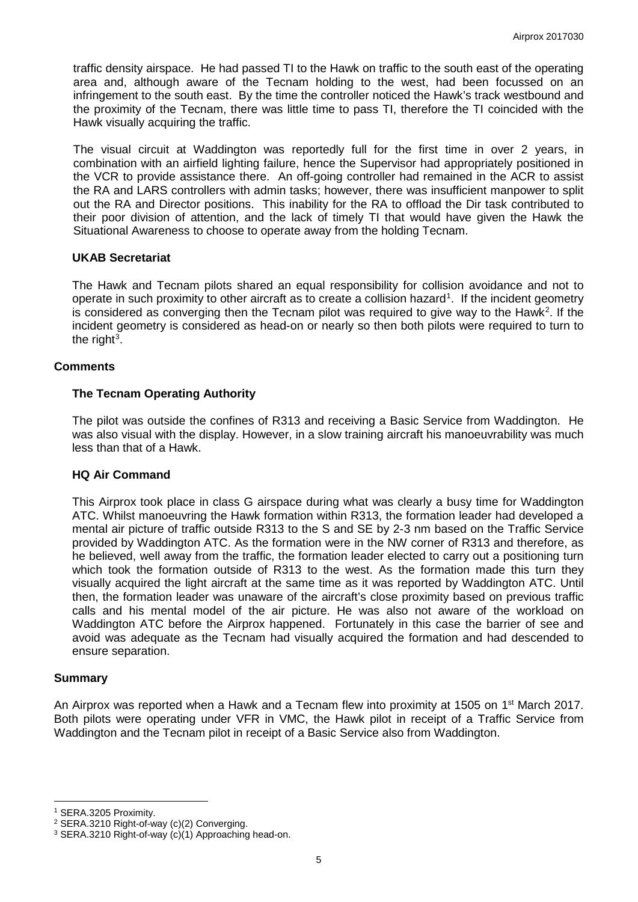traffic density airspace. He had passed TI to the Hawk on traffic to the south east of the operating area and, although aware of the Tecnam holding to the west, had been focussed on an infringement to the south east. By the time the controller noticed the Hawk's track westbound and the proximity of the Tecnam, there was little time to pass TI, therefore the TI coincided with the Hawk visually acquiring the traffic.

The visual circuit at Waddington was reportedly full for the first time in over 2 years, in combination with an airfield lighting failure, hence the Supervisor had appropriately positioned in the VCR to provide assistance there. An off-going controller had remained in the ACR to assist the RA and LARS controllers with admin tasks; however, there was insufficient manpower to split out the RA and Director positions. This inability for the RA to offload the Dir task contributed to their poor division of attention, and the lack of timely TI that would have given the Hawk the Situational Awareness to choose to operate away from the holding Tecnam.

### **UKAB Secretariat**

The Hawk and Tecnam pilots shared an equal responsibility for collision avoidance and not to operate in such proximity to other aircraft as to create a collision hazard<sup>[1](#page-4-0)</sup>. If the incident geometry is considered as converging then the Tecnam pilot was required to give way to the Hawk<sup>[2](#page-4-1)</sup>. If the incident geometry is considered as head-on or nearly so then both pilots were required to turn to the right $^3$  $^3$ .

### **Comments**

## **The Tecnam Operating Authority**

The pilot was outside the confines of R313 and receiving a Basic Service from Waddington. He was also visual with the display. However, in a slow training aircraft his manoeuvrability was much less than that of a Hawk.

### **HQ Air Command**

This Airprox took place in class G airspace during what was clearly a busy time for Waddington ATC. Whilst manoeuvring the Hawk formation within R313, the formation leader had developed a mental air picture of traffic outside R313 to the S and SE by 2-3 nm based on the Traffic Service provided by Waddington ATC. As the formation were in the NW corner of R313 and therefore, as he believed, well away from the traffic, the formation leader elected to carry out a positioning turn which took the formation outside of R313 to the west. As the formation made this turn they visually acquired the light aircraft at the same time as it was reported by Waddington ATC. Until then, the formation leader was unaware of the aircraft's close proximity based on previous traffic calls and his mental model of the air picture. He was also not aware of the workload on Waddington ATC before the Airprox happened. Fortunately in this case the barrier of see and avoid was adequate as the Tecnam had visually acquired the formation and had descended to ensure separation.

### **Summary**

 $\overline{\phantom{a}}$ 

An Airprox was reported when a Hawk and a Tecnam flew into proximity at 1505 on 1<sup>st</sup> March 2017. Both pilots were operating under VFR in VMC, the Hawk pilot in receipt of a Traffic Service from Waddington and the Tecnam pilot in receipt of a Basic Service also from Waddington.

<span id="page-4-0"></span><sup>1</sup> SERA.3205 Proximity.

<span id="page-4-1"></span><sup>2</sup> SERA.3210 Right-of-way (c)(2) Converging.

<span id="page-4-2"></span><sup>3</sup> SERA.3210 Right-of-way (c)(1) Approaching head-on.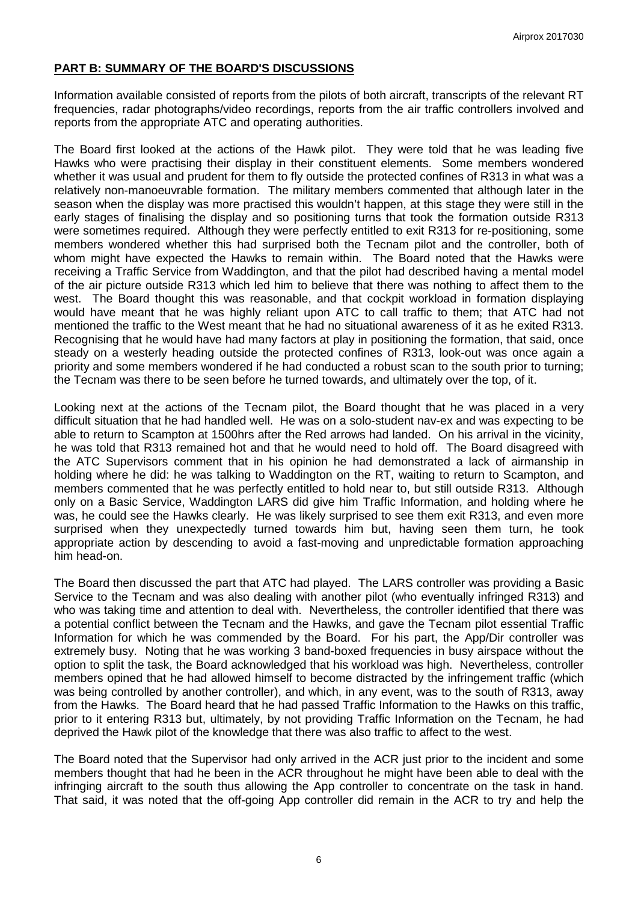## **PART B: SUMMARY OF THE BOARD'S DISCUSSIONS**

Information available consisted of reports from the pilots of both aircraft, transcripts of the relevant RT frequencies, radar photographs/video recordings, reports from the air traffic controllers involved and reports from the appropriate ATC and operating authorities.

The Board first looked at the actions of the Hawk pilot. They were told that he was leading five Hawks who were practising their display in their constituent elements. Some members wondered whether it was usual and prudent for them to fly outside the protected confines of R313 in what was a relatively non-manoeuvrable formation. The military members commented that although later in the season when the display was more practised this wouldn't happen, at this stage they were still in the early stages of finalising the display and so positioning turns that took the formation outside R313 were sometimes required. Although they were perfectly entitled to exit R313 for re-positioning, some members wondered whether this had surprised both the Tecnam pilot and the controller, both of whom might have expected the Hawks to remain within. The Board noted that the Hawks were receiving a Traffic Service from Waddington, and that the pilot had described having a mental model of the air picture outside R313 which led him to believe that there was nothing to affect them to the west. The Board thought this was reasonable, and that cockpit workload in formation displaying would have meant that he was highly reliant upon ATC to call traffic to them; that ATC had not mentioned the traffic to the West meant that he had no situational awareness of it as he exited R313. Recognising that he would have had many factors at play in positioning the formation, that said, once steady on a westerly heading outside the protected confines of R313, look-out was once again a priority and some members wondered if he had conducted a robust scan to the south prior to turning; the Tecnam was there to be seen before he turned towards, and ultimately over the top, of it.

Looking next at the actions of the Tecnam pilot, the Board thought that he was placed in a very difficult situation that he had handled well. He was on a solo-student nav-ex and was expecting to be able to return to Scampton at 1500hrs after the Red arrows had landed. On his arrival in the vicinity, he was told that R313 remained hot and that he would need to hold off. The Board disagreed with the ATC Supervisors comment that in his opinion he had demonstrated a lack of airmanship in holding where he did: he was talking to Waddington on the RT, waiting to return to Scampton, and members commented that he was perfectly entitled to hold near to, but still outside R313. Although only on a Basic Service, Waddington LARS did give him Traffic Information, and holding where he was, he could see the Hawks clearly. He was likely surprised to see them exit R313, and even more surprised when they unexpectedly turned towards him but, having seen them turn, he took appropriate action by descending to avoid a fast-moving and unpredictable formation approaching him head-on.

The Board then discussed the part that ATC had played. The LARS controller was providing a Basic Service to the Tecnam and was also dealing with another pilot (who eventually infringed R313) and who was taking time and attention to deal with. Nevertheless, the controller identified that there was a potential conflict between the Tecnam and the Hawks, and gave the Tecnam pilot essential Traffic Information for which he was commended by the Board. For his part, the App/Dir controller was extremely busy. Noting that he was working 3 band-boxed frequencies in busy airspace without the option to split the task, the Board acknowledged that his workload was high. Nevertheless, controller members opined that he had allowed himself to become distracted by the infringement traffic (which was being controlled by another controller), and which, in any event, was to the south of R313, away from the Hawks. The Board heard that he had passed Traffic Information to the Hawks on this traffic, prior to it entering R313 but, ultimately, by not providing Traffic Information on the Tecnam, he had deprived the Hawk pilot of the knowledge that there was also traffic to affect to the west.

The Board noted that the Supervisor had only arrived in the ACR just prior to the incident and some members thought that had he been in the ACR throughout he might have been able to deal with the infringing aircraft to the south thus allowing the App controller to concentrate on the task in hand. That said, it was noted that the off-going App controller did remain in the ACR to try and help the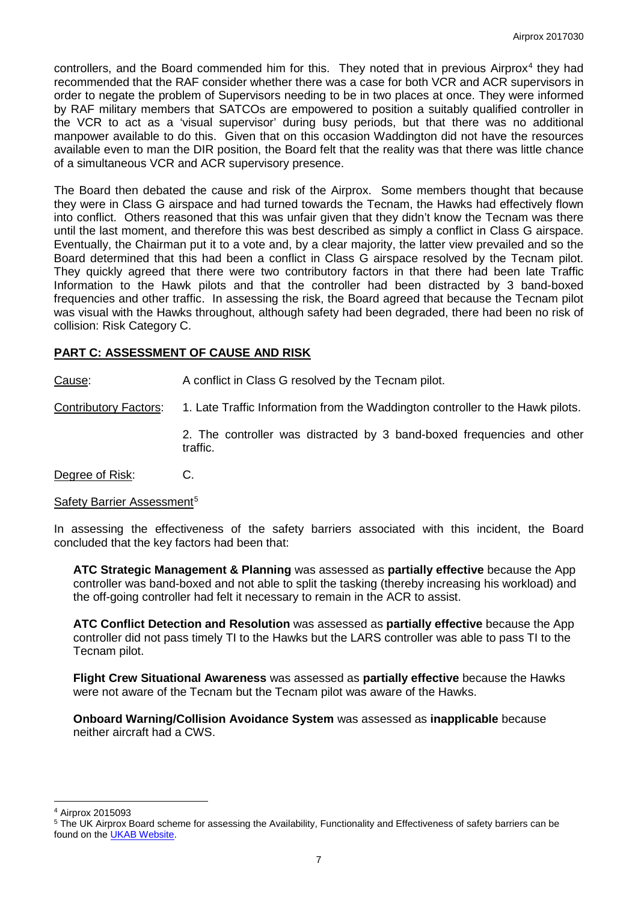controllers, and the Board commended him for this. They noted that in previous Airprox<sup>[4](#page-6-0)</sup> they had recommended that the RAF consider whether there was a case for both VCR and ACR supervisors in order to negate the problem of Supervisors needing to be in two places at once. They were informed by RAF military members that SATCOs are empowered to position a suitably qualified controller in the VCR to act as a 'visual supervisor' during busy periods, but that there was no additional manpower available to do this. Given that on this occasion Waddington did not have the resources available even to man the DIR position, the Board felt that the reality was that there was little chance of a simultaneous VCR and ACR supervisory presence.

The Board then debated the cause and risk of the Airprox. Some members thought that because they were in Class G airspace and had turned towards the Tecnam, the Hawks had effectively flown into conflict. Others reasoned that this was unfair given that they didn't know the Tecnam was there until the last moment, and therefore this was best described as simply a conflict in Class G airspace. Eventually, the Chairman put it to a vote and, by a clear majority, the latter view prevailed and so the Board determined that this had been a conflict in Class G airspace resolved by the Tecnam pilot. They quickly agreed that there were two contributory factors in that there had been late Traffic Information to the Hawk pilots and that the controller had been distracted by 3 band-boxed frequencies and other traffic. In assessing the risk, the Board agreed that because the Tecnam pilot was visual with the Hawks throughout, although safety had been degraded, there had been no risk of collision: Risk Category C.

# **PART C: ASSESSMENT OF CAUSE AND RISK**

Cause: A conflict in Class G resolved by the Tecnam pilot.

Contributory Factors: 1. Late Traffic Information from the Waddington controller to the Hawk pilots.

2. The controller was distracted by 3 band-boxed frequencies and other traffic.

Degree of Risk: C.

### Safety Barrier Assessment<sup>[5](#page-6-1)</sup>

In assessing the effectiveness of the safety barriers associated with this incident, the Board concluded that the key factors had been that:

**ATC Strategic Management & Planning** was assessed as **partially effective** because the App controller was band-boxed and not able to split the tasking (thereby increasing his workload) and the off-going controller had felt it necessary to remain in the ACR to assist.

**ATC Conflict Detection and Resolution** was assessed as **partially effective** because the App controller did not pass timely TI to the Hawks but the LARS controller was able to pass TI to the Tecnam pilot.

**Flight Crew Situational Awareness** was assessed as **partially effective** because the Hawks were not aware of the Tecnam but the Tecnam pilot was aware of the Hawks.

**Onboard Warning/Collision Avoidance System** was assessed as **inapplicable** because neither aircraft had a CWS.

 $\overline{\phantom{a}}$ <sup>4</sup> Airprox 2015093

<span id="page-6-1"></span><span id="page-6-0"></span><sup>5</sup> The UK Airprox Board scheme for assessing the Availability, Functionality and Effectiveness of safety barriers can be found on the [UKAB Website.](http://www.airproxboard.org.uk/Learn-more/Airprox-Barrier-Assessment/)